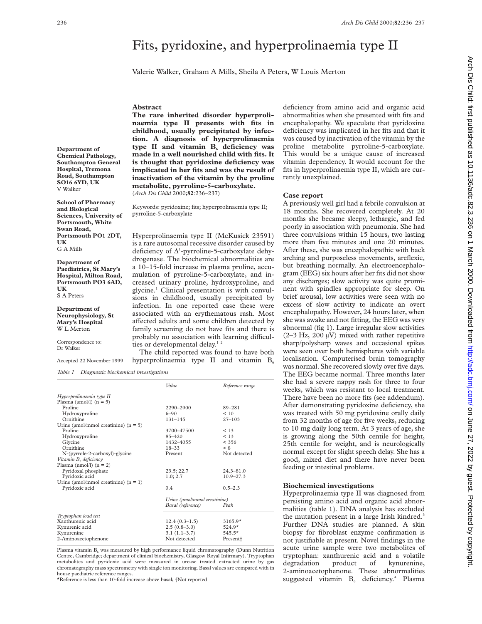# Fits, pyridoxine, and hyperprolinaemia type II

Valerie Walker, Graham A Mills, Sheila A Peters, W Louis Merton

#### **Abstract**

**The rare inherited disorder hyperprolinaemia type II presents with fits in childhood, usually precipitated by infection. A diagnosis of hyperprolinaemia** type II and vitamin B<sub>6</sub> deficiency was **made in a well nourished child with fits. It is thought that pyridoxine deficiency was implicated in her fits and was the result of inactivation of the vitamin by the proline metabolite, pyrroline-5-carboxylate.** (*Arch Dis Child* 2000;**82**:236–237)

Keywords: pyridoxine; fits; hyperprolinaemia type II; pyrroline-5-carboxylate

Hyperprolinaemia type II (McKusick 23591) is a rare autosomal recessive disorder caused by deficiency of  $\Delta^1$ -pyrroline-5-carboxylate dehydrogenase. The biochemical abnormalities are a 10–15-fold increase in plasma proline, accumulation of pyrroline-5-carboxylate, and increased urinary proline, hydroxyproline, and glycine.1 Clinical presentation is with convulsions in childhood, usually precipitated by infection. In one reported case these were associated with an erythematous rash. Most affected adults and some children detected by family screening do not have fits and there is probably no association with learning difficulties or developmental delay.<sup>12</sup>

The child reported was found to have both hyperprolinaemia type II and vitamin  $B_6$ 

|                                                | Value                        | Reference range      |
|------------------------------------------------|------------------------------|----------------------|
| Hyperprolinaemia type II                       |                              |                      |
| Plasma ( $\mu$ mol/l) ( $n = 5$ )              |                              |                      |
| Proline                                        | 2290-2900                    | 89-281               |
| Hydroxyproline                                 | $6 - 90$                     | < 10                 |
| Ornithine                                      | $131 - 145$                  | $27 - 103$           |
| Urine ( $\mu$ mol/mmol creatinine) ( $n = 5$ ) |                              |                      |
| Proline                                        | 3700-47500                   | < 13                 |
| Hydroxyproline                                 | $85 - 420$                   | < 13                 |
| Glycine                                        | 1432-4055                    | $<$ 356              |
| Ornithine                                      | $18 - 33$                    | $\leq 8$             |
| N-(pyrrole-2-carboxyl)-glycine                 | Present                      | Not detected         |
| Vitamin B, deficiency                          |                              |                      |
| Plasma (nmol/l) $(n = 2)$                      |                              |                      |
| Pyridoxal phosphate                            | 23.5; 22.7                   | $24.3 - 81.0$        |
| Pyridoxic acid                                 | 1.0; 2.7                     | $10.9 - 27.3$        |
| Urine ( $\mu$ mol/mmol creatinine) ( $n = 1$ ) |                              |                      |
| Pyridoxic acid                                 | 0.4                          | $0.5 - 2.3$          |
|                                                | Urine (umol/mmol creatinine) |                      |
|                                                | Basal (reference)            | Peak                 |
| Tryptophan load test                           |                              |                      |
| Xanthurenic acid                               | $12.4(0.3-1.5)$              | $3165.9*$            |
| Kynurenic acid                                 | $2.5(0.8-3.0)$               | $524.9*$             |
| Kynurenine                                     | $3.1(1.1-3.7)$               | $545.5*$             |
| 2-Aminoacetophenone                            | Not detected                 | Present <sup>+</sup> |

Plasma vitamin  $B_6$  was measured by high performance liquid chromatography (Dunn Nutrition Centre, Cambridge; department of clinical biochemistry, Glasgow Royal Infirmary). Tryptophan metabolites and pyridoxic acid were measured in urease treated extracted urine by gas chromatography mass spectrometry with single ion monitoring. Basal values are compared with in house paediatric reference ranges.

\*Reference is less than 10-fold increase above basal; †Not reported

deficiency from amino acid and organic acid abnormalities when she presented with fits and encephalopathy. We speculate that pyridoxine deficiency was implicated in her fits and that it was caused by inactivation of the vitamin by the proline metabolite pyrroline-5-carboxylate. This would be a unique cause of increased vitamin dependency. It would account for the fits in hyperprolinaemia type II, which are currently unexplained.

### **Case report**

A previously well girl had a febrile convulsion at 18 months. She recovered completely. At 20 months she became sleepy, lethargic, and fed poorly in association with pneumonia. She had three convulsions within 15 hours, two lasting more than five minutes and one 20 minutes. After these, she was encephalopathic with back arching and purposeless movements, areflexic, but breathing normally. An electroencephalogram (EEG) six hours after her fits did not show any discharges; slow activity was quite prominent with spindles appropriate for sleep. On brief arousal, low activities were seen with no excess of slow activity to indicate an overt encephalopathy. However, 24 hours later, when she was awake and not fitting, the EEG was very abnormal (fig 1). Large irregular slow activities  $(2-3 Hz, 200 \mu V)$  mixed with rather repetitive sharp/polysharp waves and occasional spikes were seen over both hemispheres with variable localisation. Computerised brain tomography was normal. She recovered slowly over five days. The EEG became normal. Three months later she had a severe nappy rash for three to four weeks, which was resistant to local treatment. There have been no more fits (see addendum). After demonstrating pyridoxine deficiency, she was treated with 50 mg pyridoxine orally daily from 32 months of age for five weeks, reducing to 10 mg daily long term. At 3 years of age, she is growing along the 50th centile for height, 25th centile for weight, and is neurologically normal except for slight speech delay. She has a good, mixed diet and there have never been feeding or intestinal problems.

## **Biochemical investigations**

Hyperprolinaemia type II was diagnosed from persisting amino acid and organic acid abnormalities (table 1). DNA analysis has excluded the mutation present in a large Irish kindred.<sup>3</sup> Further DNA studies are planned. A skin biopsy for fibroblast enzyme confirmation is not justifiable at present. Novel findings in the acute urine sample were two metabolites of tryptophan: xanthurenic acid and a volatile degradation product of kynurenine, 2-aminoacetophenone. These abnormalities suggested vitamin  $B_6$  deficiency.<sup>4</sup> Plasma

**Chemical Pathology, Southampton General Hospital, Tremona Road, Southampton SO16 6YD, UK** V Walker

**School of Pharmacy and Biological Sciences, University of Portsmouth, White Swan Road, Portsmouth PO1 2DT, UK** G A Mills

**Department of**

**Department of Paediatrics, St Mary's Hospital, Milton Road, Portsmouth PO3 6AD, UK** S A Peters

**Department of Neurophysiology, St Mary's Hospital** W L Merton

Correspondence to: Dr Walker

Accepted 22 November 1999

*Table 1 Diagnostic biochemical investigations*